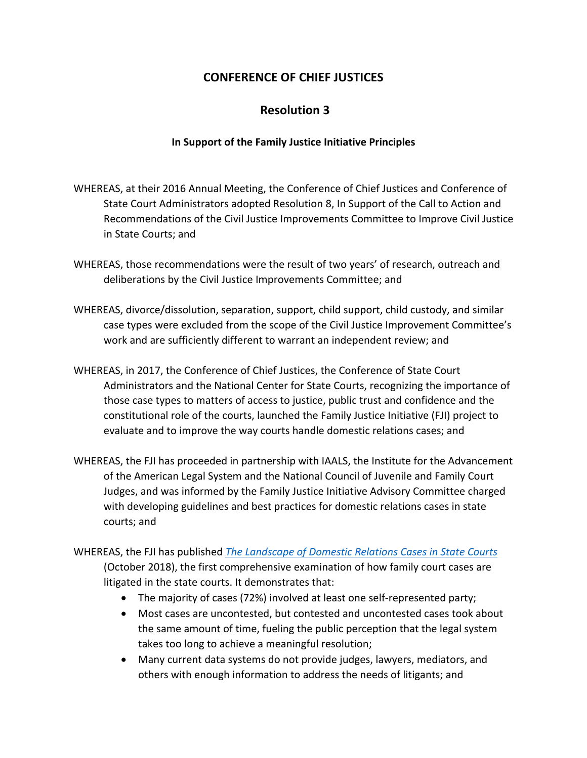## **CONFERENCE OF CHIEF JUSTICES**

## **Resolution 3**

## **In Support of the Family Justice Initiative Principles**

- WHEREAS, at their 2016 Annual Meeting, the Conference of Chief Justices and Conference of State Court Administrators adopted Resolution 8, In Support of the Call to Action and Recommendations of the Civil Justice Improvements Committee to Improve Civil Justice in State Courts; and
- WHEREAS, those recommendations were the result of two years' of research, outreach and deliberations by the Civil Justice Improvements Committee; and
- WHEREAS, divorce/dissolution, separation, support, child support, child custody, and similar case types were excluded from the scope of the Civil Justice Improvement Committee's work and are sufficiently different to warrant an independent review; and
- WHEREAS, in 2017, the Conference of Chief Justices, the Conference of State Court Administrators and the National Center for State Courts, recognizing the importance of those case types to matters of access to justice, public trust and confidence and the constitutional role of the courts, launched the Family Justice Initiative (FJI) project to evaluate and to improve the way courts handle domestic relations cases; and
- WHEREAS, the FJI has proceeded in partnership with IAALS, the Institute for the Advancement of the American Legal System and the National Council of Juvenile and Family Court Judges, and was informed by the Family Justice Initiative Advisory Committee charged with developing guidelines and best practices for domestic relations cases in state courts; and
- WHEREAS, the FJI has published *The Landscape of Domestic Relations Cases in State Courts* [\(October 2018\), the first comprehensive examination of h](https://www.ncsc.org/~/media/Files/PDF/Services and Experts/Areas of expertise/Children Families/FJI/FJI Landscape Report 2mb.ashx)ow family court cases are litigated in the state courts. It demonstrates that:
	- The majority of cases (72%) involved at least one self-represented party;
	- Most cases are uncontested, but contested and uncontested cases took about the same amount of time, fueling the public perception that the legal system takes too long to achieve a meaningful resolution;
	- Many current data systems do not provide judges, lawyers, mediators, and others with enough information to address the needs of litigants; and